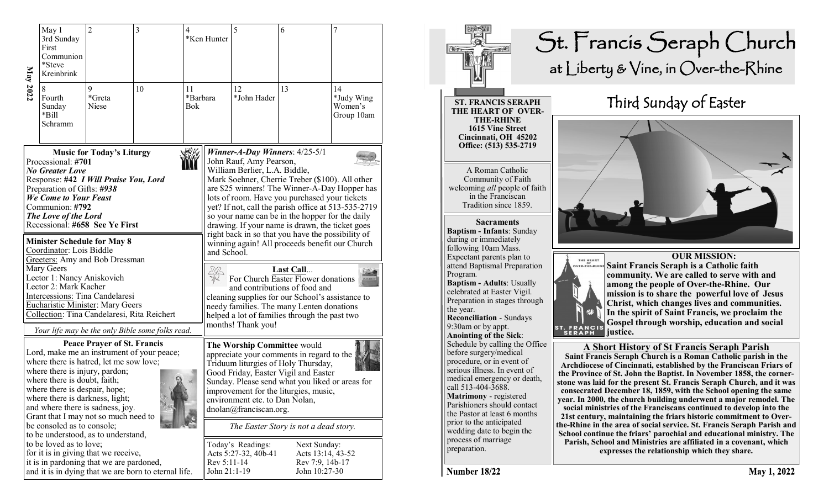|          | May 1<br>3rd Sunday<br>First<br>Communion<br>*Steve<br>Kreinbrink                                                                                                                                                                                                                                                                    | $\overline{2}$                     | $\overline{\mathbf{3}}$                                                                                                                                                                                                                                                                                                                                                       | 4                     | *Ken Hunter                 | 5                                                                                       | 6                                                                                                                                                                                                                                                                                                                                                                                                                                                         | $\overline{7}$                            |
|----------|--------------------------------------------------------------------------------------------------------------------------------------------------------------------------------------------------------------------------------------------------------------------------------------------------------------------------------------|------------------------------------|-------------------------------------------------------------------------------------------------------------------------------------------------------------------------------------------------------------------------------------------------------------------------------------------------------------------------------------------------------------------------------|-----------------------|-----------------------------|-----------------------------------------------------------------------------------------|-----------------------------------------------------------------------------------------------------------------------------------------------------------------------------------------------------------------------------------------------------------------------------------------------------------------------------------------------------------------------------------------------------------------------------------------------------------|-------------------------------------------|
| May 2022 | 8<br>Fourth<br>Sunday<br>*Bill<br>Schramm                                                                                                                                                                                                                                                                                            | 9<br>*Greta<br>Niese               | 10                                                                                                                                                                                                                                                                                                                                                                            | 11<br>*Barbara<br>Bok |                             | 12<br>*John Hader                                                                       | 13                                                                                                                                                                                                                                                                                                                                                                                                                                                        | 14<br>*Judy Wing<br>Women's<br>Group 10am |
|          | Processional: #701<br><b>No Greater Love</b><br>Response: #42 I Will Praise You, Lord<br>Preparation of Gifts: #938<br><b>We Come to Your Feast</b><br>Communion: #792<br>The Love of the Lord<br>Recessional: #658 See Ye First<br><b>Minister Schedule for May 8</b><br>Coordinator: Lois Biddle<br>Greeters: Amy and Bob Dressman | <b>Music for Today's Liturgy</b>   |                                                                                                                                                                                                                                                                                                                                                                               |                       | and School.                 | John Rauf, Amy Pearson,<br>William Berlier, L.A. Biddle,                                | Winner-A-Day Winners: $4/25-5/1$<br>Mark Soehner, Cherrie Treber (\$100). All other<br>are \$25 winners! The Winner-A-Day Hopper has<br>lots of room. Have you purchased your tickets<br>yet? If not, call the parish office at 513-535-2719<br>so your name can be in the hopper for the daily<br>drawing. If your name is drawn, the ticket goes<br>right back in so that you have the possibility of<br>winning again! All proceeds benefit our Church |                                           |
|          | Mary Geers<br>Lector 1: Nancy Aniskovich<br>Lector 2: Mark Kacher<br>Intercessions: Tina Candelaresi<br><b>Eucharistic Minister: Mary Geers</b>                                                                                                                                                                                      |                                    | Last Call<br>For Church Easter Flower donations<br><b>DONATIO</b><br>and contributions of food and<br>cleaning supplies for our School's assistance to<br>needy families. The many Lenten donations<br>Collection: Tina Candelaresi, Rita Reichert<br>helped a lot of families through the past two<br>months! Thank you!<br>Your life may be the only Bible some folks read. |                       |                             |                                                                                         |                                                                                                                                                                                                                                                                                                                                                                                                                                                           |                                           |
|          | where there is hatred, let me sow love;<br>where there is injury, pardon;<br>where there is doubt, faith;<br>where there is despair, hope;<br>where there is darkness, light;<br>and where there is sadness, joy.<br>Grant that I may not so much need to<br>be consoled as to console;<br>to be understood, as to understand,       | <b>Peace Prayer of St. Francis</b> | Lord, make me an instrument of your peace;                                                                                                                                                                                                                                                                                                                                    |                       |                             | The Worship Committee would<br>environment etc. to Dan Nolan,<br>dnolan@franciscan.org. | appreciate your comments in regard to the<br>Triduum liturgies of Holy Thursday,<br>Good Friday, Easter Vigil and Easter<br>Sunday. Please send what you liked or areas for<br>improvement for the liturgies, music,<br>The Easter Story is not a dead story.                                                                                                                                                                                             |                                           |
|          | to be loved as to love;<br>for it is in giving that we receive,<br>it is in pardoning that we are pardoned,                                                                                                                                                                                                                          |                                    | and it is in dying that we are born to eternal life.                                                                                                                                                                                                                                                                                                                          |                       | Rev 5:11-14<br>John 21:1-19 | Today's Readings:<br>Acts 5:27-32, 40b-41                                               | Next Sunday:<br>Acts 13:14, 43-52<br>Rev 7:9, 14b-17<br>John 10:27-30                                                                                                                                                                                                                                                                                                                                                                                     |                                           |



Number 18/22